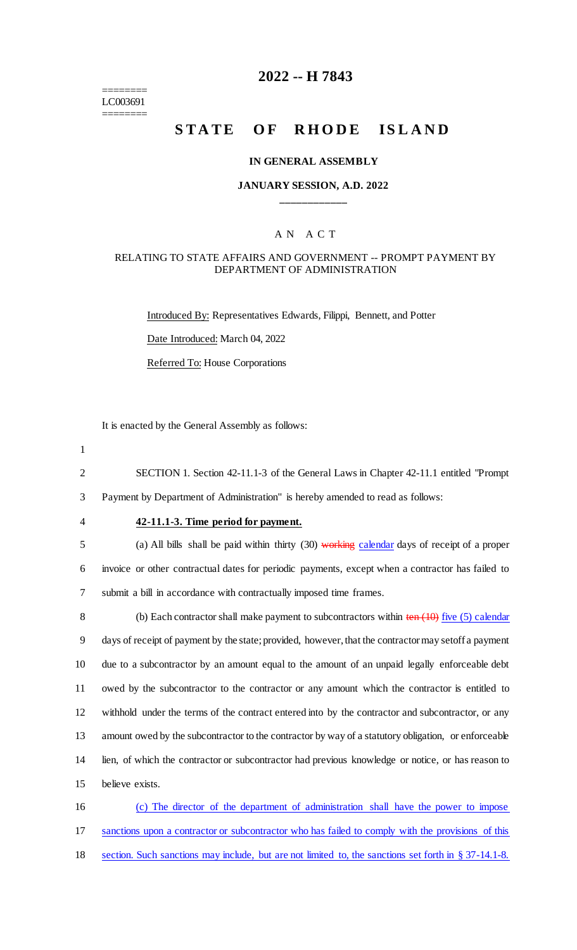======== LC003691 ========

## **2022 -- H 7843**

# **STATE OF RHODE ISLAND**

#### **IN GENERAL ASSEMBLY**

#### **JANUARY SESSION, A.D. 2022 \_\_\_\_\_\_\_\_\_\_\_\_**

#### A N A C T

#### RELATING TO STATE AFFAIRS AND GOVERNMENT -- PROMPT PAYMENT BY DEPARTMENT OF ADMINISTRATION

Introduced By: Representatives Edwards, Filippi, Bennett, and Potter Date Introduced: March 04, 2022

Referred To: House Corporations

It is enacted by the General Assembly as follows:

- 1
	- 2 SECTION 1. Section 42-11.1-3 of the General Laws in Chapter 42-11.1 entitled "Prompt

3 Payment by Department of Administration" is hereby amended to read as follows:

#### 4 **42-11.1-3. Time period for payment.**

5 (a) All bills shall be paid within thirty (30) working calendar days of receipt of a proper 6 invoice or other contractual dates for periodic payments, except when a contractor has failed to 7 submit a bill in accordance with contractually imposed time frames.

8 (b) Each contractor shall make payment to subcontractors within ten (10) five (5) calendar days of receipt of payment by the state; provided, however, that the contractor may setoff a payment due to a subcontractor by an amount equal to the amount of an unpaid legally enforceable debt owed by the subcontractor to the contractor or any amount which the contractor is entitled to withhold under the terms of the contract entered into by the contractor and subcontractor, or any amount owed by the subcontractor to the contractor by way of a statutory obligation, or enforceable lien, of which the contractor or subcontractor had previous knowledge or notice, or has reason to believe exists.

16 (c) The director of the department of administration shall have the power to impose 17 sanctions upon a contractor or subcontractor who has failed to comply with the provisions of this 18 section. Such sanctions may include, but are not limited to, the sanctions set forth in § 37-14.1-8.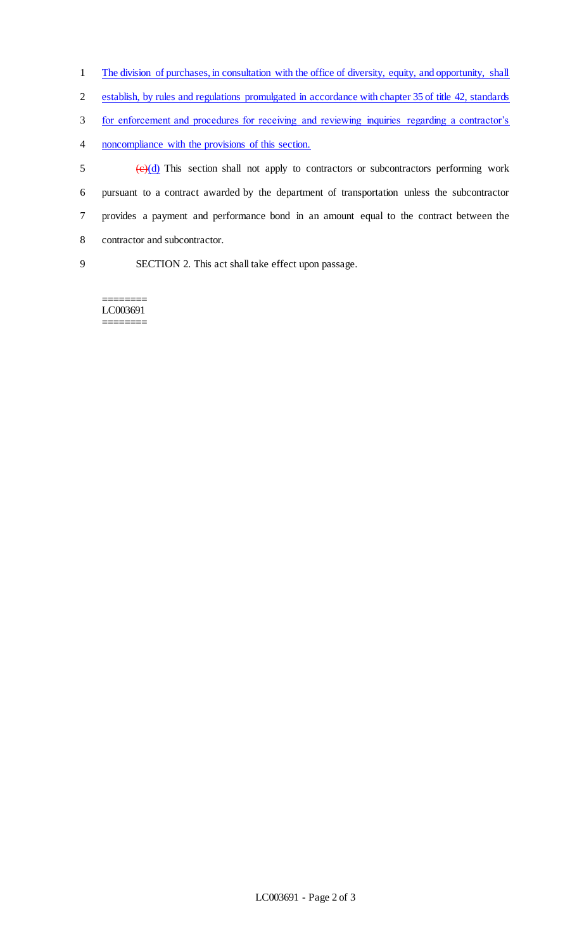- 1 The division of purchases, in consultation with the office of diversity, equity, and opportunity, shall
- 2 establish, by rules and regulations promulgated in accordance with chapter 35 of title 42, standards
- 3 for enforcement and procedures for receiving and reviewing inquiries regarding a contractor's
- 4 noncompliance with the provisions of this section.

 $\frac{1}{2}$  (e)(d) This section shall not apply to contractors or subcontractors performing work pursuant to a contract awarded by the department of transportation unless the subcontractor provides a payment and performance bond in an amount equal to the contract between the contractor and subcontractor.

9 SECTION 2. This act shall take effect upon passage.

======== LC003691 ========